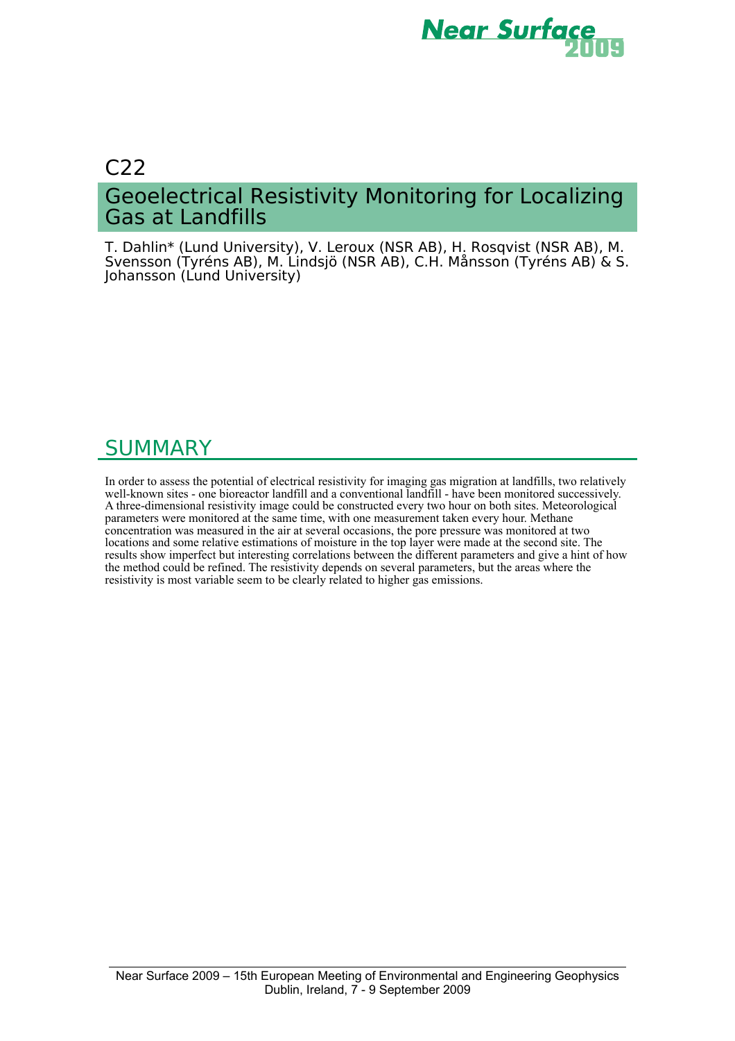

# C22 Geoelectrical Resistivity Monitoring for Localizing Gas at Landfills

T. Dahlin\* (Lund University), V. Leroux (NSR AB), H. Rosqvist (NSR AB), M. Svensson (Tyréns AB), M. Lindsjö (NSR AB), C.H. Månsson (Tyréns AB) & S. Johansson (Lund University)

# SUMMARY

In order to assess the potential of electrical resistivity for imaging gas migration at landfills, two relatively well-known sites - one bioreactor landfill and a conventional landfill - have been monitored successively. A three-dimensional resistivity image could be constructed every two hour on both sites. Meteorological parameters were monitored at the same time, with one measurement taken every hour. Methane concentration was measured in the air at several occasions, the pore pressure was monitored at two locations and some relative estimations of moisture in the top layer were made at the second site. The results show imperfect but interesting correlations between the different parameters and give a hint of how the method could be refined. The resistivity depends on several parameters, but the areas where the resistivity is most variable seem to be clearly related to higher gas emissions.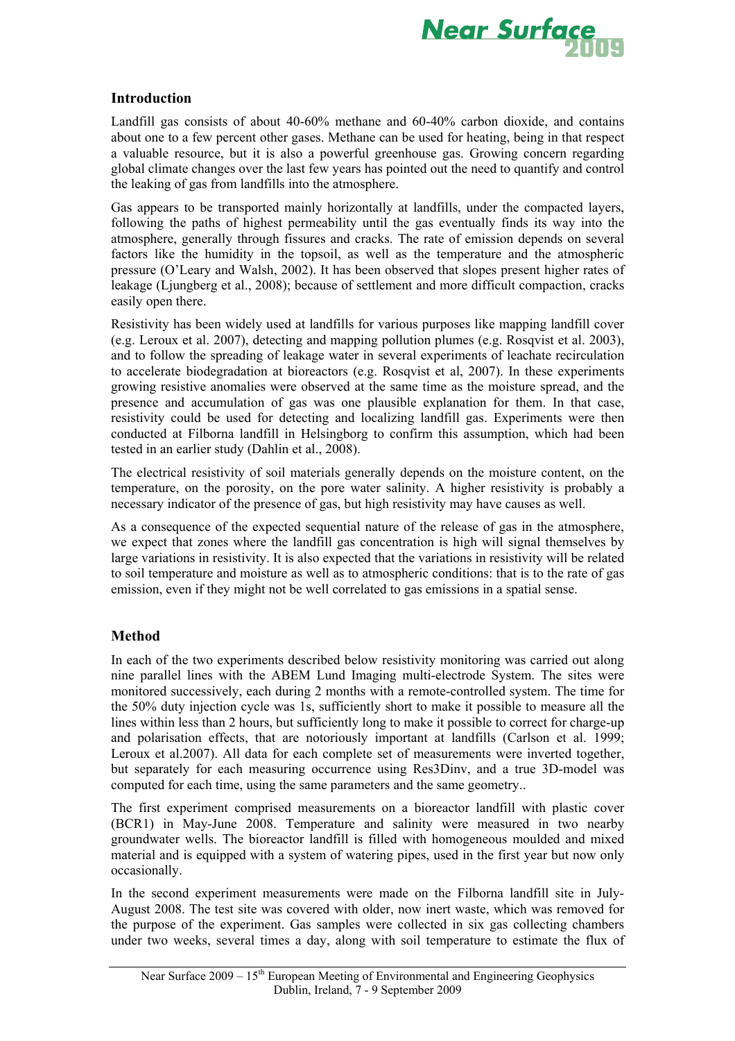

### **Introduction**

Landfill gas consists of about 40-60% methane and 60-40% carbon dioxide, and contains about one to a few percent other gases. Methane can be used for heating, being in that respect a valuable resource, but it is also a powerful greenhouse gas. Growing concern regarding global climate changes over the last few years has pointed out the need to quantify and control the leaking of gas from landfills into the atmosphere.

Gas appears to be transported mainly horizontally at landfills, under the compacted layers, following the paths of highest permeability until the gas eventually finds its way into the atmosphere, generally through fissures and cracks. The rate of emission depends on several factors like the humidity in the topsoil, as well as the temperature and the atmospheric pressure (O'Leary and Walsh, 2002). It has been observed that slopes present higher rates of leakage (Ljungberg et al., 2008); because of settlement and more difficult compaction, cracks easily open there.

Resistivity has been widely used at landfills for various purposes like mapping landfill cover (e.g. Leroux et al. 2007), detecting and mapping pollution plumes (e.g. Rosqvist et al. 2003), and to follow the spreading of leakage water in several experiments of leachate recirculation to accelerate biodegradation at bioreactors (e.g. Rosqvist et al, 2007). In these experiments growing resistive anomalies were observed at the same time as the moisture spread, and the presence and accumulation of gas was one plausible explanation for them. In that case, resistivity could be used for detecting and localizing landfill gas. Experiments were then conducted at Filborna landfill in Helsingborg to confirm this assumption, which had been tested in an earlier study (Dahlin et al., 2008).

The electrical resistivity of soil materials generally depends on the moisture content, on the temperature, on the porosity, on the pore water salinity. A higher resistivity is probably a necessary indicator of the presence of gas, but high resistivity may have causes as well.

As a consequence of the expected sequential nature of the release of gas in the atmosphere, we expect that zones where the landfill gas concentration is high will signal themselves by large variations in resistivity. It is also expected that the variations in resistivity will be related to soil temperature and moisture as well as to atmospheric conditions: that is to the rate of gas emission, even if they might not be well correlated to gas emissions in a spatial sense.

#### **Method**

In each of the two experiments described below resistivity monitoring was carried out along nine parallel lines with the ABEM Lund Imaging multi-electrode System. The sites were monitored successively, each during 2 months with a remote-controlled system. The time for the 50% duty injection cycle was 1s, sufficiently short to make it possible to measure all the lines within less than 2 hours, but sufficiently long to make it possible to correct for charge-up and polarisation effects, that are notoriously important at landfills (Carlson et al. 1999; Leroux et al.2007). All data for each complete set of measurements were inverted together, but separately for each measuring occurrence using Res3Dinv, and a true 3D-model was computed for each time, using the same parameters and the same geometry..

The first experiment comprised measurements on a bioreactor landfill with plastic cover (BCR1) in May-June 2008. Temperature and salinity were measured in two nearby groundwater wells. The bioreactor landfill is filled with homogeneous moulded and mixed material and is equipped with a system of watering pipes, used in the first year but now only occasionally.

In the second experiment measurements were made on the Filborna landfill site in July-August 2008. The test site was covered with older, now inert waste, which was removed for the purpose of the experiment. Gas samples were collected in six gas collecting chambers under two weeks, several times a day, along with soil temperature to estimate the flux of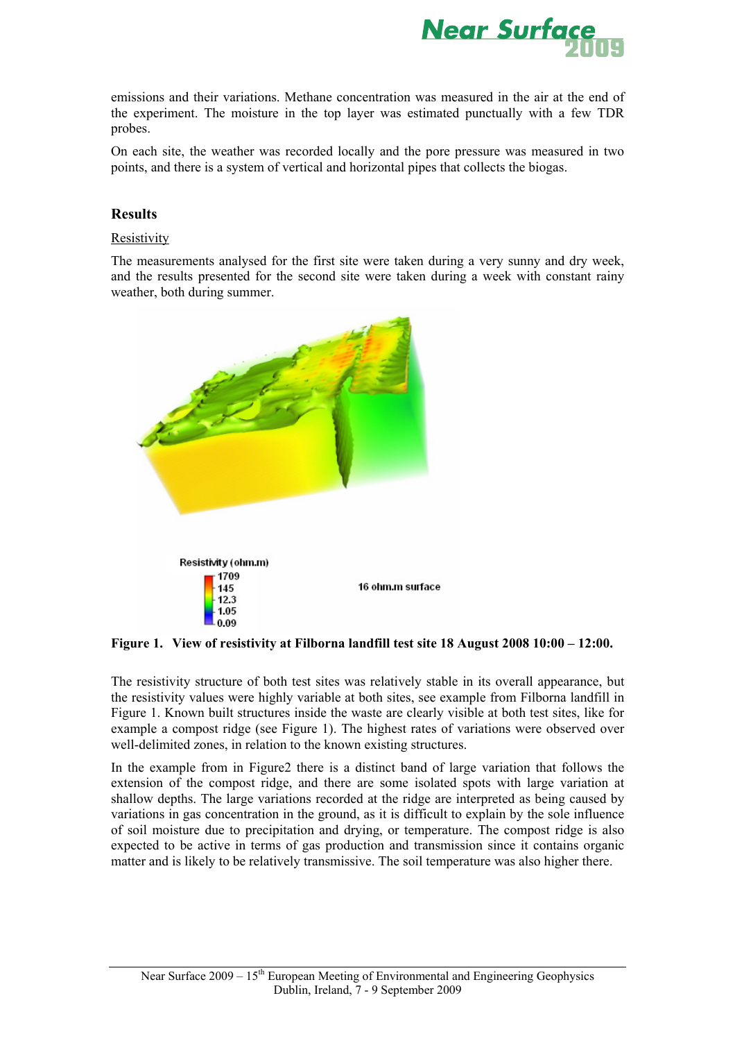

emissions and their variations. Methane concentration was measured in the air at the end of the experiment. The moisture in the top layer was estimated punctually with a few TDR probes.

On each site, the weather was recorded locally and the pore pressure was measured in two points, and there is a system of vertical and horizontal pipes that collects the biogas.

#### **Results**

#### Resistivity

The measurements analysed for the first site were taken during a very sunny and dry week, and the results presented for the second site were taken during a week with constant rainy weather, both during summer.



**Figure 1. View of resistivity at Filborna landfill test site 18 August 2008 10:00 – 12:00.** 

The resistivity structure of both test sites was relatively stable in its overall appearance, but the resistivity values were highly variable at both sites, see example from Filborna landfill in Figure 1. Known built structures inside the waste are clearly visible at both test sites, like for example a compost ridge (see Figure 1). The highest rates of variations were observed over well-delimited zones, in relation to the known existing structures.

In the example from in Figure2 there is a distinct band of large variation that follows the extension of the compost ridge, and there are some isolated spots with large variation at shallow depths. The large variations recorded at the ridge are interpreted as being caused by variations in gas concentration in the ground, as it is difficult to explain by the sole influence of soil moisture due to precipitation and drying, or temperature. The compost ridge is also expected to be active in terms of gas production and transmission since it contains organic matter and is likely to be relatively transmissive. The soil temperature was also higher there.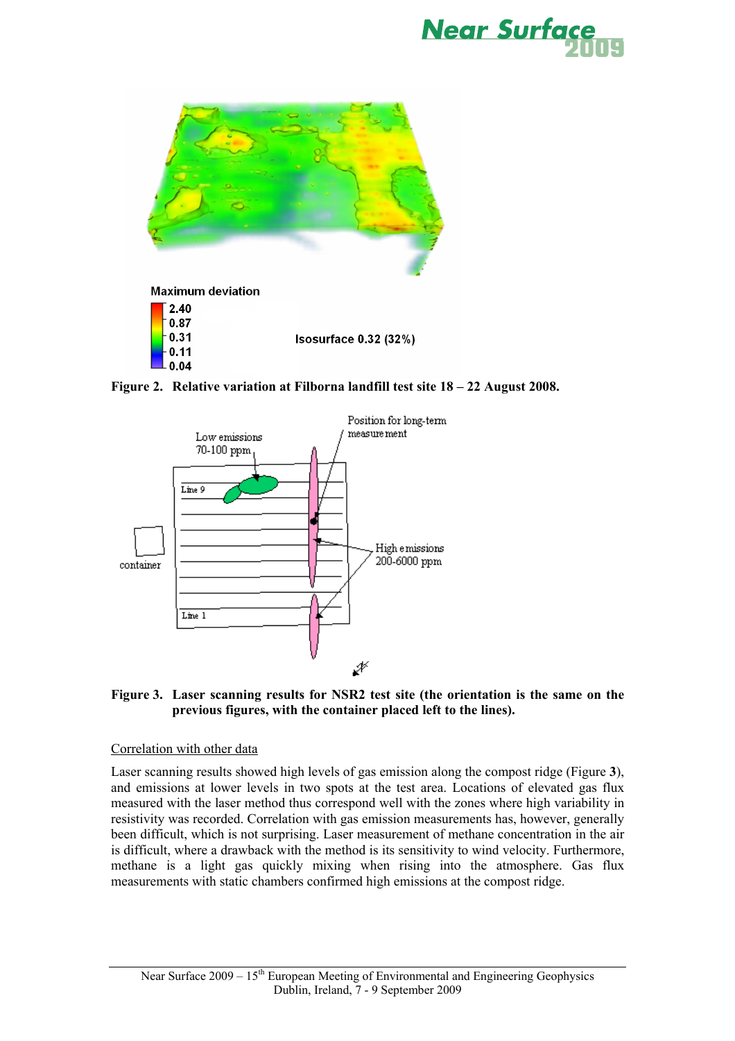



**Figure 2. Relative variation at Filborna landfill test site 18 – 22 August 2008.** 



**Figure 3. Laser scanning results for NSR2 test site (the orientation is the same on the previous figures, with the container placed left to the lines).** 

#### Correlation with other data

Laser scanning results showed high levels of gas emission along the compost ridge (Figure **3**), and emissions at lower levels in two spots at the test area. Locations of elevated gas flux measured with the laser method thus correspond well with the zones where high variability in resistivity was recorded. Correlation with gas emission measurements has, however, generally been difficult, which is not surprising. Laser measurement of methane concentration in the air is difficult, where a drawback with the method is its sensitivity to wind velocity. Furthermore, methane is a light gas quickly mixing when rising into the atmosphere. Gas flux measurements with static chambers confirmed high emissions at the compost ridge.